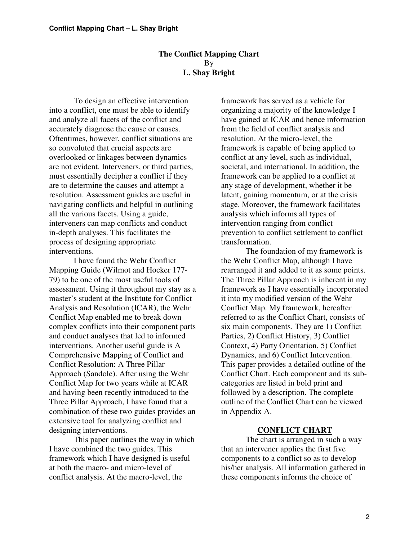### **The Conflict Mapping Chart** By **L. Shay Bright**

To design an effective intervention into a conflict, one must be able to identify and analyze all facets of the conflict and accurately diagnose the cause or causes. Oftentimes, however, conflict situations are so convoluted that crucial aspects are overlooked or linkages between dynamics are not evident. Interveners, or third parties, must essentially decipher a conflict if they are to determine the causes and attempt a resolution. Assessment guides are useful in navigating conflicts and helpful in outlining all the various facets. Using a guide, interveners can map conflicts and conduct in-depth analyses. This facilitates the process of designing appropriate interventions.

I have found the Wehr Conflict Mapping Guide (Wilmot and Hocker 177- 79) to be one of the most useful tools of assessment. Using it throughout my stay as a master's student at the Institute for Conflict Analysis and Resolution (ICAR), the Wehr Conflict Map enabled me to break down complex conflicts into their component parts and conduct analyses that led to informed interventions. Another useful guide is A Comprehensive Mapping of Conflict and Conflict Resolution: A Three Pillar Approach (Sandole). After using the Wehr Conflict Map for two years while at ICAR and having been recently introduced to the Three Pillar Approach, I have found that a combination of these two guides provides an extensive tool for analyzing conflict and designing interventions.

This paper outlines the way in which I have combined the two guides. This framework which I have designed is useful at both the macro- and micro-level of conflict analysis. At the macro-level, the

framework has served as a vehicle for organizing a majority of the knowledge I have gained at ICAR and hence information from the field of conflict analysis and resolution. At the micro-level, the framework is capable of being applied to conflict at any level, such as individual, societal, and international. In addition, the framework can be applied to a conflict at any stage of development, whether it be latent, gaining momentum, or at the crisis stage. Moreover, the framework facilitates analysis which informs all types of intervention ranging from conflict prevention to conflict settlement to conflict transformation.

The foundation of my framework is the Wehr Conflict Map, although I have rearranged it and added to it as some points. The Three Pillar Approach is inherent in my framework as I have essentially incorporated it into my modified version of the Wehr Conflict Map. My framework, hereafter referred to as the Conflict Chart, consists of six main components. They are 1) Conflict Parties, 2) Conflict History, 3) Conflict Context, 4) Party Orientation, 5) Conflict Dynamics, and 6) Conflict Intervention. This paper provides a detailed outline of the Conflict Chart. Each component and its subcategories are listed in bold print and followed by a description. The complete outline of the Conflict Chart can be viewed in Appendix A.

#### **CONFLICT CHART**

The chart is arranged in such a way that an intervener applies the first five components to a conflict so as to develop his/her analysis. All information gathered in these components informs the choice of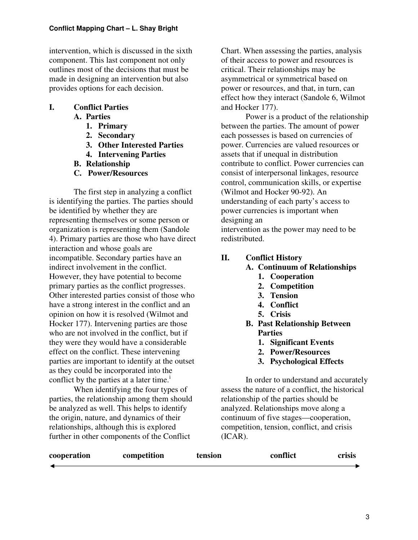intervention, which is discussed in the sixth component. This last component not only outlines most of the decisions that must be made in designing an intervention but also provides options for each decision.

# **I. Conflict Parties**

## **A. Parties**

- **1. Primary**
- **2. Secondary**
- **3. Other Interested Parties**
- **4. Intervening Parties**
- **B. Relationship**
- **C. Power/Resources**

The first step in analyzing a conflict is identifying the parties. The parties should be identified by whether they are representing themselves or some person or organization is representing them (Sandole 4). Primary parties are those who have direct interaction and whose goals are incompatible. Secondary parties have an indirect involvement in the conflict. However, they have potential to become primary parties as the conflict progresses. Other interested parties consist of those who have a strong interest in the conflict and an opinion on how it is resolved (Wilmot and Hocker 177). Intervening parties are those who are not involved in the conflict, but if they were they would have a considerable effect on the conflict. These intervening parties are important to identify at the outset as they could be incorporated into the conflict by the parties at a later time.<sup>1</sup>

When identifying the four types of parties, the relationship among them should be analyzed as well. This helps to identify the origin, nature, and dynamics of their relationships, although this is explored further in other components of the Conflict

Chart. When assessing the parties, analysis of their access to power and resources is critical. Their relationships may be asymmetrical or symmetrical based on power or resources, and that, in turn, can effect how they interact (Sandole 6, Wilmot and Hocker 177).

Power is a product of the relationship between the parties. The amount of power each possesses is based on currencies of power. Currencies are valued resources or assets that if unequal in distribution contribute to conflict. Power currencies can consist of interpersonal linkages, resource control, communication skills, or expertise (Wilmot and Hocker 90-92). An understanding of each party's access to power currencies is important when designing an

intervention as the power may need to be redistributed.

## **II. Conflict History**

## **A. Continuum of Relationships**

- **1. Cooperation**
- **2. Competition**
- **3. Tension**
- **4. Conflict**
- **5. Crisis**
- **B. Past Relationship Between Parties**
	- **1. Significant Events**
	- **2. Power/Resources**
	- **3. Psychological Effects**

In order to understand and accurately assess the nature of a conflict, the historical relationship of the parties should be analyzed. Relationships move along a continuum of five stages—cooperation, competition, tension, conflict, and crisis (ICAR).

| cooperation | competition | tension | conflict | crisis |
|-------------|-------------|---------|----------|--------|
|             |             |         |          |        |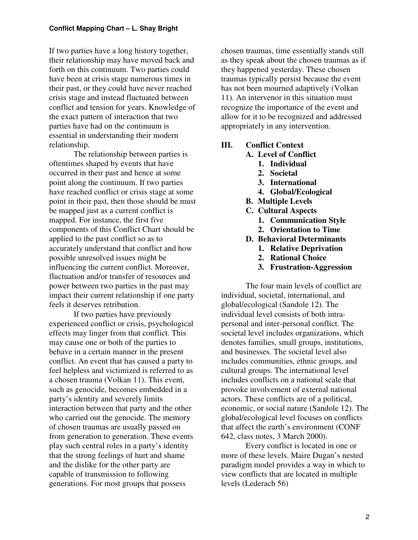If two parties have a long history together, their relationship may have moved back and forth on this continuum. Two parties could have been at crisis stage numerous times in their past, or they could have never reached crisis stage and instead fluctuated between conflict and tension for years. Knowledge of the exact pattern of interaction that two parties have had on the continuum is essential in understanding their modern relationship.

The relationship between parties is oftentimes shaped by events that have occurred in their past and hence at some point along the continuum. If two parties have reached conflict or crisis stage at some point in their past, then those should be must be mapped just as a current conflict is mapped. For instance, the first five components of this Conflict Chart should be applied to the past conflict so as to accurately understand that conflict and how possible unresolved issues might be influencing the current conflict. Moreover, fluctuation and/or transfer of resources and power between two parties in the past may impact their current relationship if one party feels it deserves retribution.

If two parties have previously experienced conflict or crisis, psychological effects may linger from that conflict. This may cause one or both of the parties to behave in a certain manner in the present conflict. An event that has caused a party to feel helpless and victimized is referred to as a chosen trauma (Volkan 11). This event, such as genocide, becomes embedded in a party's identity and severely limits interaction between that party and the other who carried out the genocide. The memory of chosen traumas are usually passed on from generation to generation. These events play such central roles in a party's identity that the strong feelings of hurt and shame and the dislike for the other party are capable of transmission to following generations. For most groups that possess

chosen traumas, time essentially stands still as they speak about the chosen traumas as if they happened yesterday. These chosen traumas typically persist because the event has not been mourned adaptively (Volkan 11). An intervenor in this situation must recognize the importance of the event and allow for it to be recognized and addressed appropriately in any intervention.

## **III. Conflict Context**

- **A. Level of Conflict**
	- **1. Individual**
	- **2. Societal**
	- **3. International**
	- **4. Global/Ecological**
- **B. Multiple Levels**
- **C. Cultural Aspects**
	- **1. Communication Style**
	- **2. Orientation to Time**
- **D. Behavioral Determinants**
	- **1. Relative Deprivation**
	- **2. Rational Choice**
	- **3. Frustration-Aggression**

The four main levels of conflict are individual, societal, international, and global/ecological (Sandole 12). The individual level consists of both intrapersonal and inter-personal conflict. The societal level includes organizations, which denotes families, small groups, institutions, and businesses. The societal level also includes communities, ethnic groups, and cultural groups. The international level includes conflicts on a national scale that provoke involvement of external national actors. These conflicts are of a political, economic, or social nature (Sandole 12). The global/ecological level focuses on conflicts that affect the earth's environment (CONF 642, class notes, 3 March 2000).

Every conflict is located in one or more of these levels. Maire Dugan's nested paradigm model provides a way in which to view conflicts that are located in multiple levels (Lederach 56)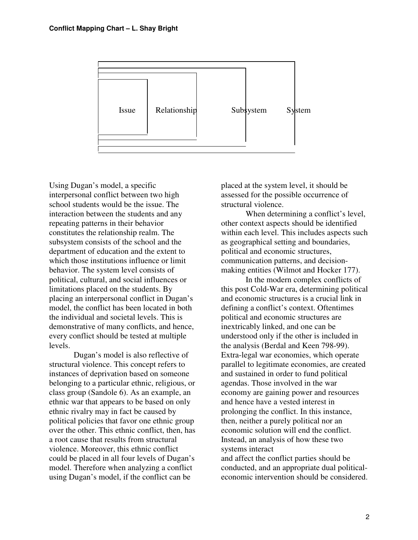

Using Dugan's model, a specific interpersonal conflict between two high school students would be the issue. The interaction between the students and any repeating patterns in their behavior constitutes the relationship realm. The subsystem consists of the school and the department of education and the extent to which those institutions influence or limit behavior. The system level consists of political, cultural, and social influences or limitations placed on the students. By placing an interpersonal conflict in Dugan's model, the conflict has been located in both the individual and societal levels. This is demonstrative of many conflicts, and hence, every conflict should be tested at multiple levels.

Dugan's model is also reflective of structural violence. This concept refers to instances of deprivation based on someone belonging to a particular ethnic, religious, or class group (Sandole 6). As an example, an ethnic war that appears to be based on only ethnic rivalry may in fact be caused by political policies that favor one ethnic group over the other. This ethnic conflict, then, has a root cause that results from structural violence. Moreover, this ethnic conflict could be placed in all four levels of Dugan's model. Therefore when analyzing a conflict using Dugan's model, if the conflict can be

placed at the system level, it should be assessed for the possible occurrence of structural violence.

When determining a conflict's level, other context aspects should be identified within each level. This includes aspects such as geographical setting and boundaries, political and economic structures, communication patterns, and decisionmaking entities (Wilmot and Hocker 177).

In the modern complex conflicts of this post Cold-War era, determining political and economic structures is a crucial link in defining a conflict's context. Oftentimes political and economic structures are inextricably linked, and one can be understood only if the other is included in the analysis (Berdal and Keen 798-99). Extra-legal war economies, which operate parallel to legitimate economies, are created and sustained in order to fund political agendas. Those involved in the war economy are gaining power and resources and hence have a vested interest in prolonging the conflict. In this instance, then, neither a purely political nor an economic solution will end the conflict. Instead, an analysis of how these two systems interact

and affect the conflict parties should be conducted, and an appropriate dual politicaleconomic intervention should be considered.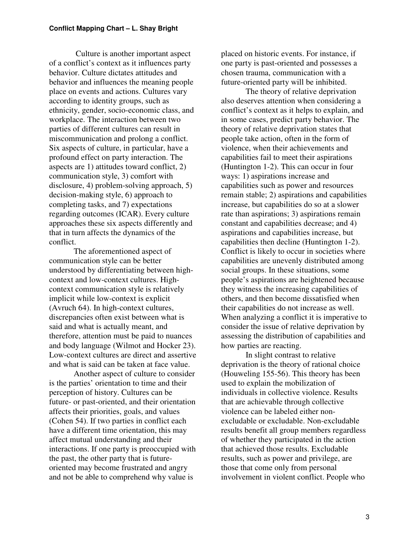Culture is another important aspect of a conflict's context as it influences party behavior. Culture dictates attitudes and behavior and influences the meaning people place on events and actions. Cultures vary according to identity groups, such as ethnicity, gender, socio-economic class, and workplace. The interaction between two parties of different cultures can result in miscommunication and prolong a conflict. Six aspects of culture, in particular, have a profound effect on party interaction. The aspects are 1) attitudes toward conflict, 2) communication style, 3) comfort with disclosure, 4) problem-solving approach, 5) decision-making style, 6) approach to completing tasks, and 7) expectations regarding outcomes (ICAR). Every culture approaches these six aspects differently and that in turn affects the dynamics of the conflict.

The aforementioned aspect of communication style can be better understood by differentiating between highcontext and low-context cultures. Highcontext communication style is relatively implicit while low-context is explicit (Avruch 64). In high-context cultures, discrepancies often exist between what is said and what is actually meant, and therefore, attention must be paid to nuances and body language (Wilmot and Hocker 23). Low-context cultures are direct and assertive and what is said can be taken at face value.

Another aspect of culture to consider is the parties' orientation to time and their perception of history. Cultures can be future- or past-oriented, and their orientation affects their priorities, goals, and values (Cohen 54). If two parties in conflict each have a different time orientation, this may affect mutual understanding and their interactions. If one party is preoccupied with the past, the other party that is futureoriented may become frustrated and angry and not be able to comprehend why value is

placed on historic events. For instance, if one party is past-oriented and possesses a chosen trauma, communication with a future-oriented party will be inhibited.

The theory of relative deprivation also deserves attention when considering a conflict's context as it helps to explain, and in some cases, predict party behavior. The theory of relative deprivation states that people take action, often in the form of violence, when their achievements and capabilities fail to meet their aspirations (Huntington 1-2). This can occur in four ways: 1) aspirations increase and capabilities such as power and resources remain stable; 2) aspirations and capabilities increase, but capabilities do so at a slower rate than aspirations; 3) aspirations remain constant and capabilities decrease; and 4) aspirations and capabilities increase, but capabilities then decline (Huntington 1-2). Conflict is likely to occur in societies where capabilities are unevenly distributed among social groups. In these situations, some people's aspirations are heightened because they witness the increasing capabilities of others, and then become dissatisfied when their capabilities do not increase as well. When analyzing a conflict it is imperative to consider the issue of relative deprivation by assessing the distribution of capabilities and how parties are reacting.

In slight contrast to relative deprivation is the theory of rational choice (Houweling 155-56). This theory has been used to explain the mobilization of individuals in collective violence. Results that are achievable through collective violence can be labeled either nonexcludable or excludable. Non-excludable results benefit all group members regardless of whether they participated in the action that achieved those results. Excludable results, such as power and privilege, are those that come only from personal involvement in violent conflict. People who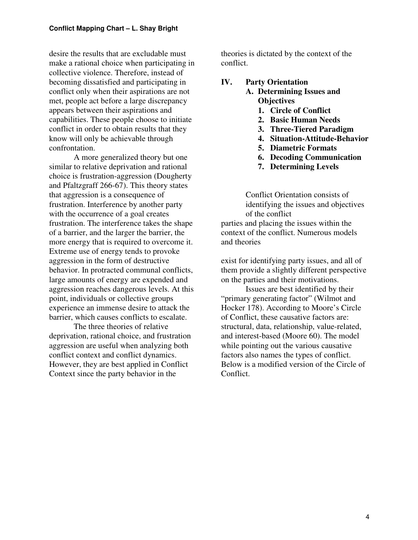desire the results that are excludable must make a rational choice when participating in collective violence. Therefore, instead of becoming dissatisfied and participating in conflict only when their aspirations are not met, people act before a large discrepancy appears between their aspirations and capabilities. These people choose to initiate conflict in order to obtain results that they know will only be achievable through confrontation.

A more generalized theory but one similar to relative deprivation and rational choice is frustration-aggression (Dougherty and Pfaltzgraff 266-67). This theory states that aggression is a consequence of frustration. Interference by another party with the occurrence of a goal creates frustration. The interference takes the shape of a barrier, and the larger the barrier, the more energy that is required to overcome it. Extreme use of energy tends to provoke aggression in the form of destructive behavior. In protracted communal conflicts, large amounts of energy are expended and aggression reaches dangerous levels. At this point, individuals or collective groups experience an immense desire to attack the barrier, which causes conflicts to escalate.

The three theories of relative deprivation, rational choice, and frustration aggression are useful when analyzing both conflict context and conflict dynamics. However, they are best applied in Conflict Context since the party behavior in the

theories is dictated by the context of the conflict.

### **IV. Party Orientation**

- **A. Determining Issues and Objectives**
	- **1. Circle of Conflict**
	- **2. Basic Human Needs**
	- **3. Three-Tiered Paradigm**
	- **4. Situation-Attitude-Behavior**
	- **5. Diametric Formats**
	- **6. Decoding Communication**
	- **7. Determining Levels**

Conflict Orientation consists of identifying the issues and objectives of the conflict

parties and placing the issues within the context of the conflict. Numerous models and theories

exist for identifying party issues, and all of them provide a slightly different perspective on the parties and their motivations.

Issues are best identified by their "primary generating factor" (Wilmot and Hocker 178). According to Moore's Circle of Conflict, these causative factors are: structural, data, relationship, value-related, and interest-based (Moore 60). The model while pointing out the various causative factors also names the types of conflict. Below is a modified version of the Circle of Conflict.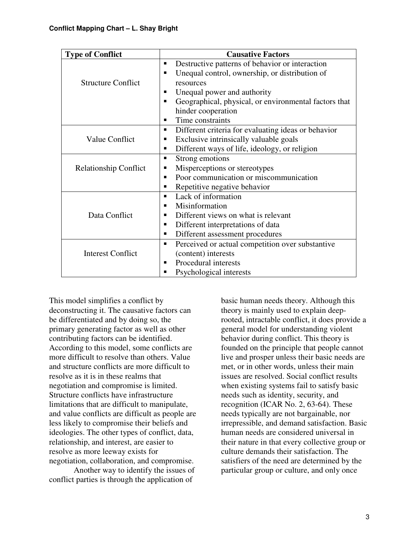| <b>Type of Conflict</b>      | <b>Causative Factors</b>                                   |  |
|------------------------------|------------------------------------------------------------|--|
|                              | Destructive patterns of behavior or interaction<br>п       |  |
|                              | Unequal control, ownership, or distribution of<br>п        |  |
| <b>Structure Conflict</b>    | resources                                                  |  |
|                              | Unequal power and authority<br>п                           |  |
|                              | Geographical, physical, or environmental factors that<br>п |  |
|                              | hinder cooperation                                         |  |
|                              | Time constraints<br>п                                      |  |
|                              | Different criteria for evaluating ideas or behavior<br>٠   |  |
| <b>Value Conflict</b>        | Exclusive intrinsically valuable goals<br>п                |  |
|                              | Different ways of life, ideology, or religion<br>٠         |  |
|                              | Strong emotions<br>п                                       |  |
| <b>Relationship Conflict</b> | Misperceptions or stereotypes<br>п                         |  |
|                              | Poor communication or miscommunication<br>п                |  |
|                              | Repetitive negative behavior<br>п                          |  |
|                              | Lack of information<br>٠                                   |  |
|                              | Misinformation<br>п                                        |  |
| Data Conflict                | Different views on what is relevant<br>٠                   |  |
|                              | Different interpretations of data<br>٠                     |  |
|                              | Different assessment procedures<br>п                       |  |
|                              | Perceived or actual competition over substantive<br>п      |  |
| <b>Interest Conflict</b>     | (content) interests                                        |  |
|                              | Procedural interests<br>п                                  |  |
|                              | Psychological interests<br>п                               |  |

This model simplifies a conflict by deconstructing it. The causative factors can be differentiated and by doing so, the primary generating factor as well as other contributing factors can be identified. According to this model, some conflicts are more difficult to resolve than others. Value and structure conflicts are more difficult to resolve as it is in these realms that negotiation and compromise is limited. Structure conflicts have infrastructure limitations that are difficult to manipulate, and value conflicts are difficult as people are less likely to compromise their beliefs and ideologies. The other types of conflict, data, relationship, and interest, are easier to resolve as more leeway exists for negotiation, collaboration, and compromise.

Another way to identify the issues of conflict parties is through the application of

basic human needs theory. Although this theory is mainly used to explain deeprooted, intractable conflict, it does provide a general model for understanding violent behavior during conflict. This theory is founded on the principle that people cannot live and prosper unless their basic needs are met, or in other words, unless their main issues are resolved. Social conflict results when existing systems fail to satisfy basic needs such as identity, security, and recognition (ICAR No. 2, 63-64). These needs typically are not bargainable, nor irrepressible, and demand satisfaction. Basic human needs are considered universal in their nature in that every collective group or culture demands their satisfaction. The satisfiers of the need are determined by the particular group or culture, and only once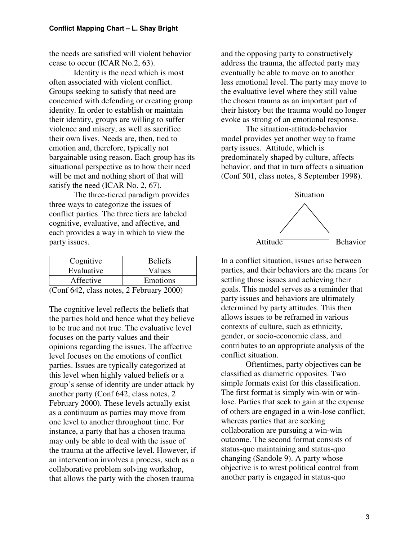the needs are satisfied will violent behavior cease to occur (ICAR No.2, 63).

Identity is the need which is most often associated with violent conflict. Groups seeking to satisfy that need are concerned with defending or creating group identity. In order to establish or maintain their identity, groups are willing to suffer violence and misery, as well as sacrifice their own lives. Needs are, then, tied to emotion and, therefore, typically not bargainable using reason. Each group has its situational perspective as to how their need will be met and nothing short of that will satisfy the need (ICAR No. 2, 67).

The three-tiered paradigm provides three ways to categorize the issues of conflict parties. The three tiers are labeled cognitive, evaluative, and affective, and each provides a way in which to view the party issues.

| Cognitive                                                 | <b>Beliefs</b> |  |
|-----------------------------------------------------------|----------------|--|
| Evaluative                                                | Values         |  |
| Affective                                                 | Emotions       |  |
| $(C_{\alpha\alpha} f \in 42$ along notes $2 \text{ Eekm}$ |                |  |

(Conf 642, class notes, 2 February 2000)

The cognitive level reflects the beliefs that the parties hold and hence what they believe to be true and not true. The evaluative level focuses on the party values and their opinions regarding the issues. The affective level focuses on the emotions of conflict parties. Issues are typically categorized at this level when highly valued beliefs or a group's sense of identity are under attack by another party (Conf 642, class notes, 2 February 2000). These levels actually exist as a continuum as parties may move from one level to another throughout time. For instance, a party that has a chosen trauma may only be able to deal with the issue of the trauma at the affective level. However, if an intervention involves a process, such as a collaborative problem solving workshop, that allows the party with the chosen trauma

and the opposing party to constructively address the trauma, the affected party may eventually be able to move on to another less emotional level. The party may move to the evaluative level where they still value the chosen trauma as an important part of their history but the trauma would no longer evoke as strong of an emotional response.

The situation-attitude-behavior model provides yet another way to frame party issues. Attitude, which is predominately shaped by culture, affects behavior, and that in turn affects a situation (Conf 501, class notes, 8 September 1998).



In a conflict situation, issues arise between parties, and their behaviors are the means for settling those issues and achieving their goals. This model serves as a reminder that party issues and behaviors are ultimately determined by party attitudes. This then allows issues to be reframed in various contexts of culture, such as ethnicity, gender, or socio-economic class, and contributes to an appropriate analysis of the conflict situation.

Oftentimes, party objectives can be classified as diametric opposites. Two simple formats exist for this classification. The first format is simply win-win or winlose. Parties that seek to gain at the expense of others are engaged in a win-lose conflict; whereas parties that are seeking collaboration are pursuing a win-win outcome. The second format consists of status-quo maintaining and status-quo changing (Sandole 9). A party whose objective is to wrest political control from another party is engaged in status-quo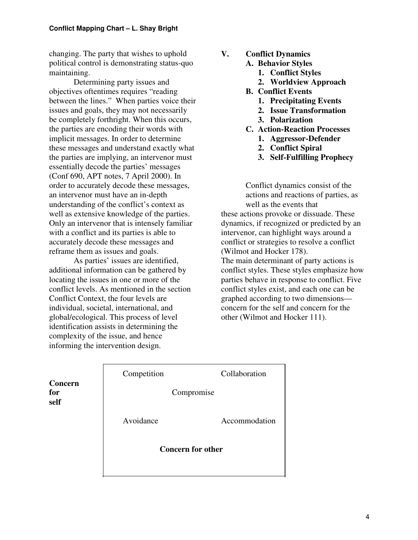changing. The party that wishes to uphold political control is demonstrating status-quo maintaining.

Determining party issues and objectives oftentimes requires "reading between the lines." When parties voice their issues and goals, they may not necessarily be completely forthright. When this occurs, the parties are encoding their words with implicit messages. In order to determine these messages and understand exactly what the parties are implying, an intervenor must essentially decode the parties' messages (Conf 690, APT notes, 7 April 2000). In order to accurately decode these messages, an intervenor must have an in-depth understanding of the conflict's context as well as extensive knowledge of the parties. Only an intervenor that is intensely familiar with a conflict and its parties is able to accurately decode these messages and reframe them as issues and goals.

As parties' issues are identified, additional information can be gathered by locating the issues in one or more of the conflict levels. As mentioned in the section Conflict Context, the four levels are individual, societal, international, and global/ecological. This process of level identification assists in determining the complexity of the issue, and hence informing the intervention design.

- **V. Conflict Dynamics**
	- **A. Behavior Styles**
		- **1. Conflict Styles**
		- **2. Worldview Approach**
	- **B. Conflict Events**
		- **1. Precipitating Events**
		- **2. Issue Transformation**
		- **3. Polarization**
	- **C. Action-Reaction Processes**
		- **1. Aggressor-Defender**
		- **2. Conflict Spiral**
		- **3. Self-Fulfilling Prophecy**

Conflict dynamics consist of the actions and reactions of parties, as well as the events that these actions provoke or dissuade. These dynamics, if recognized or predicted by an intervenor, can highlight ways around a conflict or strategies to resolve a conflict (Wilmot and Hocker 178). The main determinant of party actions is conflict styles. These styles emphasize how parties behave in response to conflict. Five conflict styles exist, and each one can be graphed according to two dimensions concern for the self and concern for the other (Wilmot and Hocker 111).

|                        | Competition              | Collaboration |  |  |
|------------------------|--------------------------|---------------|--|--|
| Concern<br>for<br>self | Compromise               |               |  |  |
|                        | Avoidance                | Accommodation |  |  |
|                        | <b>Concern for other</b> |               |  |  |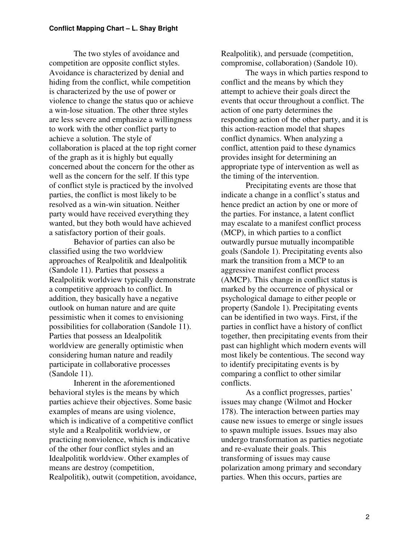The two styles of avoidance and competition are opposite conflict styles. Avoidance is characterized by denial and hiding from the conflict, while competition is characterized by the use of power or violence to change the status quo or achieve a win-lose situation. The other three styles are less severe and emphasize a willingness to work with the other conflict party to achieve a solution. The style of collaboration is placed at the top right corner of the graph as it is highly but equally concerned about the concern for the other as well as the concern for the self. If this type of conflict style is practiced by the involved parties, the conflict is most likely to be resolved as a win-win situation. Neither party would have received everything they wanted, but they both would have achieved a satisfactory portion of their goals.

Behavior of parties can also be classified using the two worldview approaches of Realpolitik and Idealpolitik (Sandole 11). Parties that possess a Realpolitik worldview typically demonstrate a competitive approach to conflict. In addition, they basically have a negative outlook on human nature and are quite pessimistic when it comes to envisioning possibilities for collaboration (Sandole 11). Parties that possess an Idealpolitik worldview are generally optimistic when considering human nature and readily participate in collaborative processes (Sandole 11).

Inherent in the aforementioned behavioral styles is the means by which parties achieve their objectives. Some basic examples of means are using violence, which is indicative of a competitive conflict style and a Realpolitik worldview, or practicing nonviolence, which is indicative of the other four conflict styles and an Idealpolitik worldview. Other examples of means are destroy (competition, Realpolitik), outwit (competition, avoidance,

Realpolitik), and persuade (competition, compromise, collaboration) (Sandole 10).

The ways in which parties respond to conflict and the means by which they attempt to achieve their goals direct the events that occur throughout a conflict. The action of one party determines the responding action of the other party, and it is this action-reaction model that shapes conflict dynamics. When analyzing a conflict, attention paid to these dynamics provides insight for determining an appropriate type of intervention as well as the timing of the intervention.

Precipitating events are those that indicate a change in a conflict's status and hence predict an action by one or more of the parties. For instance, a latent conflict may escalate to a manifest conflict process (MCP), in which parties to a conflict outwardly pursue mutually incompatible goals (Sandole 1). Precipitating events also mark the transition from a MCP to an aggressive manifest conflict process (AMCP). This change in conflict status is marked by the occurrence of physical or psychological damage to either people or property (Sandole 1). Precipitating events can be identified in two ways. First, if the parties in conflict have a history of conflict together, then precipitating events from their past can highlight which modern events will most likely be contentious. The second way to identify precipitating events is by comparing a conflict to other similar conflicts.

As a conflict progresses, parties' issues may change (Wilmot and Hocker 178). The interaction between parties may cause new issues to emerge or single issues to spawn multiple issues. Issues may also undergo transformation as parties negotiate and re-evaluate their goals. This transforming of issues may cause polarization among primary and secondary parties. When this occurs, parties are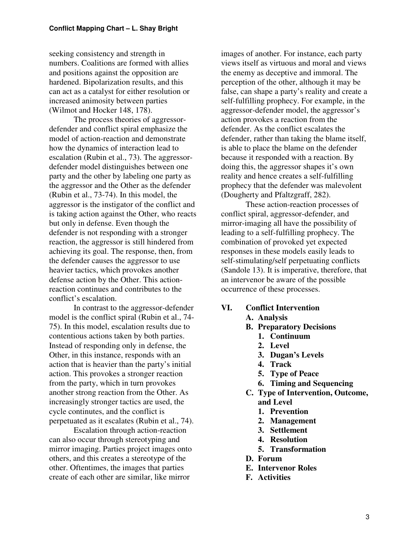seeking consistency and strength in numbers. Coalitions are formed with allies and positions against the opposition are hardened. Bipolarization results, and this can act as a catalyst for either resolution or increased animosity between parties (Wilmot and Hocker 148, 178).

The process theories of aggressordefender and conflict spiral emphasize the model of action-reaction and demonstrate how the dynamics of interaction lead to escalation (Rubin et al., 73). The aggressordefender model distinguishes between one party and the other by labeling one party as the aggressor and the Other as the defender (Rubin et al., 73-74). In this model, the aggressor is the instigator of the conflict and is taking action against the Other, who reacts but only in defense. Even though the defender is not responding with a stronger reaction, the aggressor is still hindered from achieving its goal. The response, then, from the defender causes the aggressor to use heavier tactics, which provokes another defense action by the Other. This actionreaction continues and contributes to the conflict's escalation.

In contrast to the aggressor-defender model is the conflict spiral (Rubin et al., 74- 75). In this model, escalation results due to contentious actions taken by both parties. Instead of responding only in defense, the Other, in this instance, responds with an action that is heavier than the party's initial action. This provokes a stronger reaction from the party, which in turn provokes another strong reaction from the Other. As increasingly stronger tactics are used, the cycle continutes, and the conflict is perpetuated as it escalates (Rubin et al., 74).

Escalation through action-reaction can also occur through stereotyping and mirror imaging. Parties project images onto others, and this creates a stereotype of the other. Oftentimes, the images that parties create of each other are similar, like mirror

images of another. For instance, each party views itself as virtuous and moral and views the enemy as deceptive and immoral. The perception of the other, although it may be false, can shape a party's reality and create a self-fulfilling prophecy. For example, in the aggressor-defender model, the aggressor's action provokes a reaction from the defender. As the conflict escalates the defender, rather than taking the blame itself, is able to place the blame on the defender because it responded with a reaction. By doing this, the aggressor shapes it's own reality and hence creates a self-fulfilling prophecy that the defender was malevolent (Dougherty and Pfaltzgraff, 282).

These action-reaction processes of conflict spiral, aggressor-defender, and mirror-imaging all have the possibility of leading to a self-fulfilling prophecy. The combination of provoked yet expected responses in these models easily leads to self-stimulating/self perpetuating conflicts (Sandole 13). It is imperative, therefore, that an intervenor be aware of the possible occurrence of these processes.

#### **VI. Conflict Intervention**

- **A. Analysis**
- **B. Preparatory Decisions**
	- **1. Continuum**
	- **2. Level**
	- **3. Dugan's Levels**
	- **4. Track**
	- **5. Type of Peace**
	- **6. Timing and Sequencing**
- **C. Type of Intervention, Outcome, and Level**
	- **1. Prevention**
	- **2. Management**
	- **3. Settlement**
	- **4. Resolution**
	- **5. Transformation**
- **D. Forum**
- **E. Intervenor Roles**
- **F. Activities**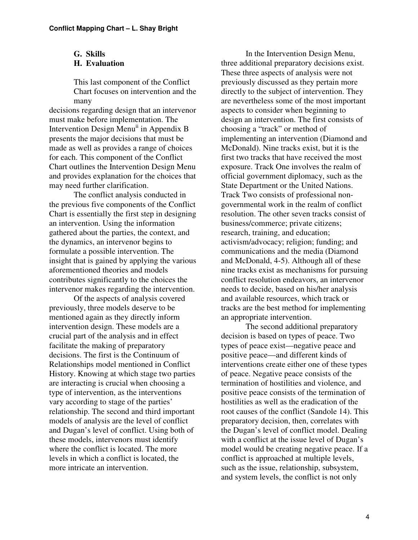#### **G. Skills H. Evaluation**

This last component of the Conflict Chart focuses on intervention and the many

decisions regarding design that an intervenor must make before implementation. The Intervention Design Menu<sup>ii</sup> in Appendix B presents the major decisions that must be made as well as provides a range of choices for each. This component of the Conflict Chart outlines the Intervention Design Menu and provides explanation for the choices that may need further clarification.

The conflict analysis conducted in the previous five components of the Conflict Chart is essentially the first step in designing an intervention. Using the information gathered about the parties, the context, and the dynamics, an intervenor begins to formulate a possible intervention. The insight that is gained by applying the various aforementioned theories and models contributes significantly to the choices the intervenor makes regarding the intervention.

Of the aspects of analysis covered previously, three models deserve to be mentioned again as they directly inform intervention design. These models are a crucial part of the analysis and in effect facilitate the making of preparatory decisions. The first is the Continuum of Relationships model mentioned in Conflict History. Knowing at which stage two parties are interacting is crucial when choosing a type of intervention, as the interventions vary according to stage of the parties' relationship. The second and third important models of analysis are the level of conflict and Dugan's level of conflict. Using both of these models, intervenors must identify where the conflict is located. The more levels in which a conflict is located, the more intricate an intervention.

In the Intervention Design Menu, three additional preparatory decisions exist. These three aspects of analysis were not previously discussed as they pertain more directly to the subject of intervention. They are nevertheless some of the most important aspects to consider when beginning to design an intervention. The first consists of choosing a "track" or method of implementing an intervention (Diamond and McDonald). Nine tracks exist, but it is the first two tracks that have received the most exposure. Track One involves the realm of official government diplomacy, such as the State Department or the United Nations. Track Two consists of professional nongovernmental work in the realm of conflict resolution. The other seven tracks consist of business/commerce; private citizens; research, training, and education; activism/advocacy; religion; funding; and communications and the media (Diamond and McDonald, 4-5). Although all of these nine tracks exist as mechanisms for pursuing conflict resolution endeavors, an intervenor needs to decide, based on his/her analysis and available resources, which track or tracks are the best method for implementing an appropriate intervention.

The second additional preparatory decision is based on types of peace. Two types of peace exist—negative peace and positive peace—and different kinds of interventions create either one of these types of peace. Negative peace consists of the termination of hostilities and violence, and positive peace consists of the termination of hostilities as well as the eradication of the root causes of the conflict (Sandole 14). This preparatory decision, then, correlates with the Dugan's level of conflict model. Dealing with a conflict at the issue level of Dugan's model would be creating negative peace. If a conflict is approached at multiple levels, such as the issue, relationship, subsystem, and system levels, the conflict is not only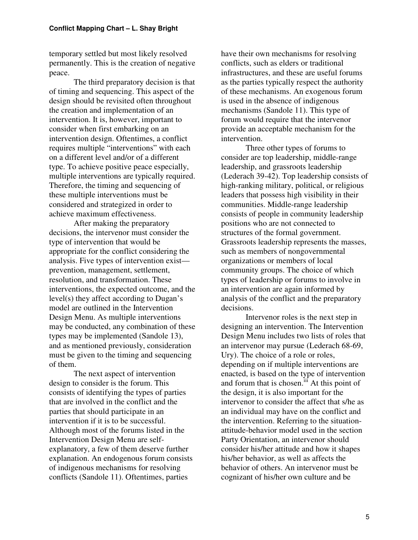temporary settled but most likely resolved permanently. This is the creation of negative peace.

The third preparatory decision is that of timing and sequencing. This aspect of the design should be revisited often throughout the creation and implementation of an intervention. It is, however, important to consider when first embarking on an intervention design. Oftentimes, a conflict requires multiple "interventions" with each on a different level and/or of a different type. To achieve positive peace especially, multiple interventions are typically required. Therefore, the timing and sequencing of these multiple interventions must be considered and strategized in order to achieve maximum effectiveness.

After making the preparatory decisions, the intervenor must consider the type of intervention that would be appropriate for the conflict considering the analysis. Five types of intervention exist prevention, management, settlement, resolution, and transformation. These interventions, the expected outcome, and the level(s) they affect according to Dugan's model are outlined in the Intervention Design Menu. As multiple interventions may be conducted, any combination of these types may be implemented (Sandole 13), and as mentioned previously, consideration must be given to the timing and sequencing of them.

The next aspect of intervention design to consider is the forum. This consists of identifying the types of parties that are involved in the conflict and the parties that should participate in an intervention if it is to be successful. Although most of the forums listed in the Intervention Design Menu are selfexplanatory, a few of them deserve further explanation. An endogenous forum consists of indigenous mechanisms for resolving conflicts (Sandole 11). Oftentimes, parties

have their own mechanisms for resolving conflicts, such as elders or traditional infrastructures, and these are useful forums as the parties typically respect the authority of these mechanisms. An exogenous forum is used in the absence of indigenous mechanisms (Sandole 11). This type of forum would require that the intervenor provide an acceptable mechanism for the intervention.

Three other types of forums to consider are top leadership, middle-range leadership, and grassroots leadership (Lederach 39-42). Top leadership consists of high-ranking military, political, or religious leaders that possess high visibility in their communities. Middle-range leadership consists of people in community leadership positions who are not connected to structures of the formal government. Grassroots leadership represents the masses, such as members of nongovernmental organizations or members of local community groups. The choice of which types of leadership or forums to involve in an intervention are again informed by analysis of the conflict and the preparatory decisions.

Intervenor roles is the next step in designing an intervention. The Intervention Design Menu includes two lists of roles that an intervenor may pursue (Lederach 68-69, Ury). The choice of a role or roles, depending on if multiple interventions are enacted, is based on the type of intervention and forum that is chosen.<sup>iif</sup> At this point of the design, it is also important for the intervenor to consider the affect that s/he as an individual may have on the conflict and the intervention. Referring to the situationattitude-behavior model used in the section Party Orientation, an intervenor should consider his/her attitude and how it shapes his/her behavior, as well as affects the behavior of others. An intervenor must be cognizant of his/her own culture and be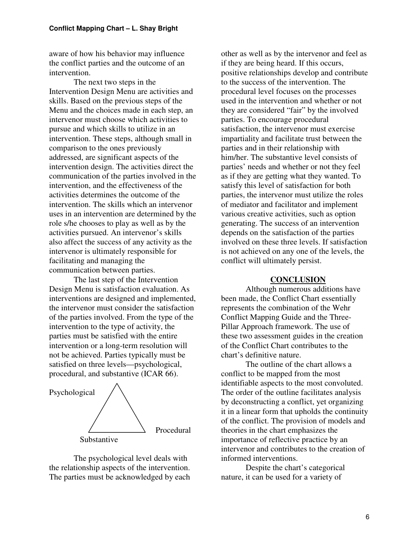aware of how his behavior may influence the conflict parties and the outcome of an intervention.

The next two steps in the Intervention Design Menu are activities and skills. Based on the previous steps of the Menu and the choices made in each step, an intervenor must choose which activities to pursue and which skills to utilize in an intervention. These steps, although small in comparison to the ones previously addressed, are significant aspects of the intervention design. The activities direct the communication of the parties involved in the intervention, and the effectiveness of the activities determines the outcome of the intervention. The skills which an intervenor uses in an intervention are determined by the role s/he chooses to play as well as by the activities pursued. An intervenor's skills also affect the success of any activity as the intervenor is ultimately responsible for facilitating and managing the communication between parties.

The last step of the Intervention Design Menu is satisfaction evaluation. As interventions are designed and implemented, the intervenor must consider the satisfaction of the parties involved. From the type of the intervention to the type of activity, the parties must be satisfied with the entire intervention or a long-term resolution will not be achieved. Parties typically must be satisfied on three levels—psychological, procedural, and substantive (ICAR 66).



The psychological level deals with the relationship aspects of the intervention. The parties must be acknowledged by each other as well as by the intervenor and feel as if they are being heard. If this occurs, positive relationships develop and contribute to the success of the intervention. The procedural level focuses on the processes used in the intervention and whether or not they are considered "fair" by the involved parties. To encourage procedural satisfaction, the intervenor must exercise impartiality and facilitate trust between the parties and in their relationship with him/her. The substantive level consists of parties' needs and whether or not they feel as if they are getting what they wanted. To satisfy this level of satisfaction for both parties, the intervenor must utilize the roles of mediator and facilitator and implement various creative activities, such as option generating. The success of an intervention depends on the satisfaction of the parties involved on these three levels. If satisfaction is not achieved on any one of the levels, the conflict will ultimately persist.

#### **CONCLUSION**

Although numerous additions have been made, the Conflict Chart essentially represents the combination of the Wehr Conflict Mapping Guide and the Three-Pillar Approach framework. The use of these two assessment guides in the creation of the Conflict Chart contributes to the chart's definitive nature.

The outline of the chart allows a conflict to be mapped from the most identifiable aspects to the most convoluted. The order of the outline facilitates analysis by deconstructing a conflict, yet organizing it in a linear form that upholds the continuity of the conflict. The provision of models and theories in the chart emphasizes the importance of reflective practice by an intervenor and contributes to the creation of informed interventions.

Despite the chart's categorical nature, it can be used for a variety of